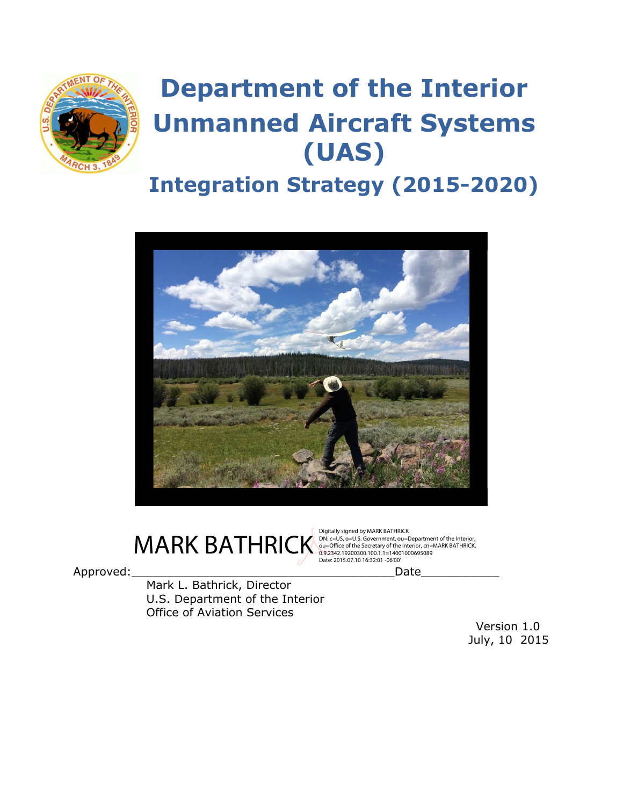

# **Department of the Interior Unmanned Aircraft Systems (UAS)**

## **Integration Strategy (2015-2020)**





Digitally signed by MARK BATHRICK<br>DN: c=US, o=U.S. Government, ou=Department of the Interior, Date: 2015.07.10 16:32:01 -06'00'

Approved: The contract of the contract of the contract of the contract of the contract of the contract of the contract of the contract of the contract of the contract of the contract of the contract of the contract of the

Mark L. Bathrick, Director U.S. Department of the Interior Office of Aviation Services

> Version 1.0 July, 10 2015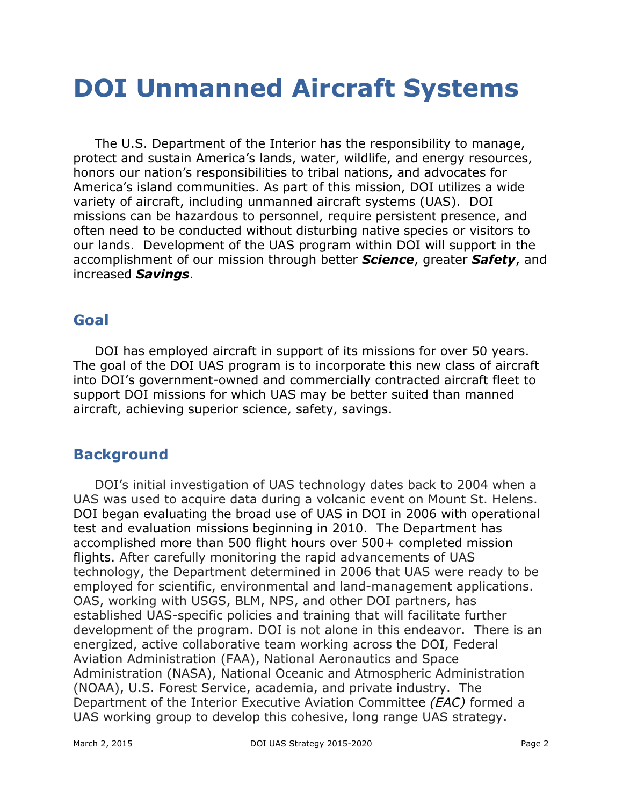## **DOI Unmanned Aircraft Systems**

The U.S. Department of the Interior has the responsibility to manage, protect and sustain America's lands, water, wildlife, and energy resources, honors our nation's responsibilities to tribal nations, and advocates for America's island communities. As part of this mission, DOI utilizes a wide variety of aircraft, including unmanned aircraft systems (UAS). DOI missions can be hazardous to personnel, require persistent presence, and often need to be conducted without disturbing native species or visitors to our lands. Development of the UAS program within DOI will support in the accomplishment of our mission through better *Science*, greater *Safety*, and increased *Savings*.

### **Goal**

DOI has employed aircraft in support of its missions for over 50 years. The goal of the DOI UAS program is to incorporate this new class of aircraft into DOI's government-owned and commercially contracted aircraft fleet to support DOI missions for which UAS may be better suited than manned aircraft, achieving superior science, safety, savings.

### **Background**

DOI's initial investigation of UAS technology dates back to 2004 when a UAS was used to acquire data during a volcanic event on Mount St. Helens. DOI began evaluating the broad use of UAS in DOI in 2006 with operational test and evaluation missions beginning in 2010. The Department has accomplished more than 500 flight hours over 500+ completed mission flights. After carefully monitoring the rapid advancements of UAS technology, the Department determined in 2006 that UAS were ready to be employed for scientific, environmental and land-management applications. OAS, working with USGS, BLM, NPS, and other DOI partners, has established UAS-specific policies and training that will facilitate further development of the program. DOI is not alone in this endeavor. There is an energized, active collaborative team working across the DOI, Federal Aviation Administration (FAA), National Aeronautics and Space Administration (NASA), National Oceanic and Atmospheric Administration (NOAA), U.S. Forest Service, academia, and private industry. The Department of the Interior Executive Aviation Committee *(EAC)* formed a UAS working group to develop this cohesive, long range UAS strategy.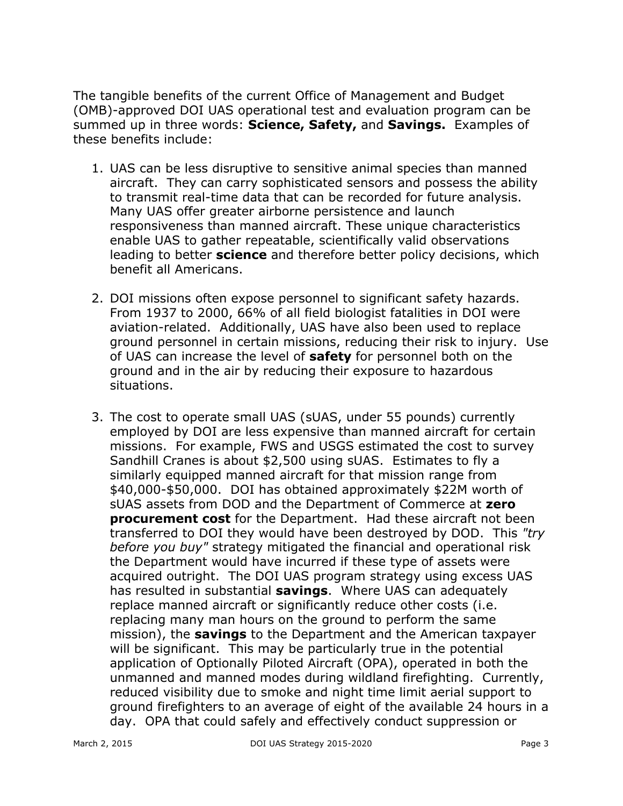The tangible benefits of the current Office of Management and Budget (OMB)-approved DOI UAS operational test and evaluation program can be summed up in three words: **Science, Safety,** and **Savings.**Examples of these benefits include:

- 1. UAS can be less disruptive to sensitive animal species than manned aircraft. They can carry sophisticated sensors and possess the ability to transmit real-time data that can be recorded for future analysis. Many UAS offer greater airborne persistence and launch responsiveness than manned aircraft. These unique characteristics enable UAS to gather repeatable, scientifically valid observations leading to better **science**and therefore better policy decisions, which benefit all Americans.
- 2. DOI missions often expose personnel to significant safety hazards. From 1937 to 2000, 66% of all field biologist fatalities in DOI were aviation-related. Additionally, UAS have also been used to replace ground personnel in certain missions, reducing their risk to injury. Use of UAS can increase the level of **safety** for personnel both on the ground and in the air by reducing their exposure to hazardous situations.
- 3. The cost to operate small UAS (sUAS, under 55 pounds) currently employed by DOI are less expensive than manned aircraft for certain missions. For example, FWS and USGS estimated the cost to survey Sandhill Cranes is about \$2,500 using sUAS. Estimates to fly a similarly equipped manned aircraft for that mission range from \$40,000-\$50,000. DOI has obtained approximately \$22M worth of sUAS assets from DOD and the Department of Commerce at **zero procurement cost** for the Department. Had these aircraft not been transferred to DOI they would have been destroyed by DOD. This *"try before you buy"* strategy mitigated the financial and operational risk the Department would have incurred if these type of assets were acquired outright. The DOI UAS program strategy using excess UAS has resulted in substantial **savings**. Where UAS can adequately replace manned aircraft or significantly reduce other costs (i.e. replacing many man hours on the ground to perform the same mission), the **savings**to the Department and the American taxpayer will be significant. This may be particularly true in the potential application of Optionally Piloted Aircraft (OPA), operated in both the unmanned and manned modes during wildland firefighting. Currently, reduced visibility due to smoke and night time limit aerial support to ground firefighters to an average of eight of the available 24 hours in a day. OPA that could safely and effectively conduct suppression or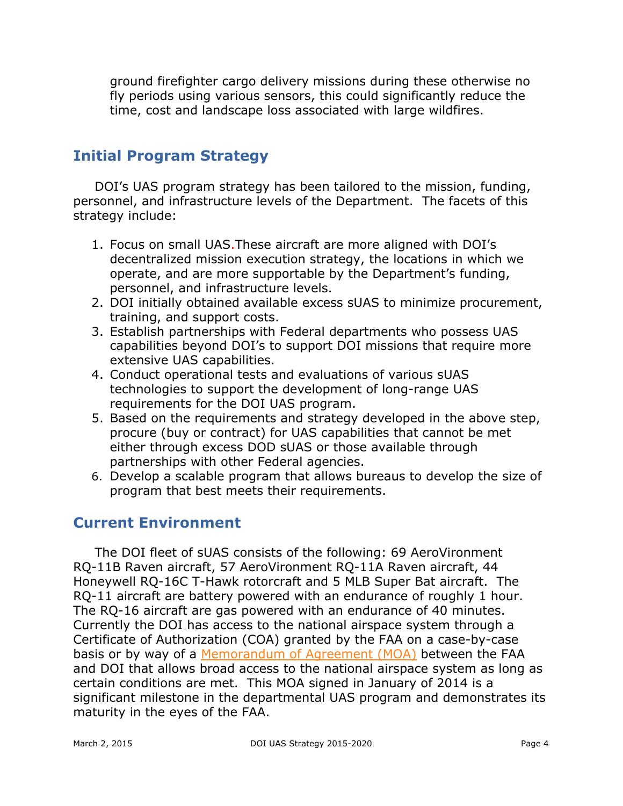ground firefighter cargo delivery missions during these otherwise no fly periods using various sensors, this could significantly reduce the time, cost and landscape loss associated with large wildfires.

## **Initial Program Strategy**

DOI's UAS program strategy has been tailored to the mission, funding, personnel, and infrastructure levels of the Department. The facets of this strategy include:

- 1. Focus on small UAS.These aircraft are more aligned with DOI's decentralized mission execution strategy, the locations in which we operate, and are more supportable by the Department's funding, personnel, and infrastructure levels.
- 2. DOI initially obtained available excess sUAS to minimize procurement, training, and support costs.
- 3. Establish partnerships with Federal departments who possess UAS capabilities beyond DOI's to support DOI missions that require more extensive UAS capabilities.
- 4. Conduct operational tests and evaluations of various sUAS technologies to support the development of long-range UAS requirements for the DOI UAS program.
- 5. Based on the requirements and strategy developed in the above step, procure (buy or contract) for UAS capabilities that cannot be met either through excess DOD sUAS or those available through partnerships with other Federal agencies.
- 6. Develop a scalable program that allows bureaus to develop the size of program that best meets their requirements.

### **Current Environment**

The DOI fleet of sUAS consists of the following: 69 AeroVironment RQ-11B Raven aircraft, 57 AeroVironment RQ-11A Raven aircraft, 44 Honeywell RQ-16C T-Hawk rotorcraft and 5 MLB Super Bat aircraft. The RQ-11 aircraft are battery powered with an endurance of roughly 1 hour. The RQ-16 aircraft are gas powered with an endurance of 40 minutes. Currently the DOI has access to the national airspace system through a Certificate of Authorization (COA) granted by the FAA on a case-by-case basis or by way of a [Memorandum](http://oas.doi.gov/library/mou/IB14-03_DOI_FAA.pdf) of Agreement (MOA) between the FAA and DOI that allows broad access to the national airspace system as long as certain conditions are met. This MOA signed in January of 2014 is a significant milestone in the departmental UAS program and demonstrates its maturity in the eyes of the FAA.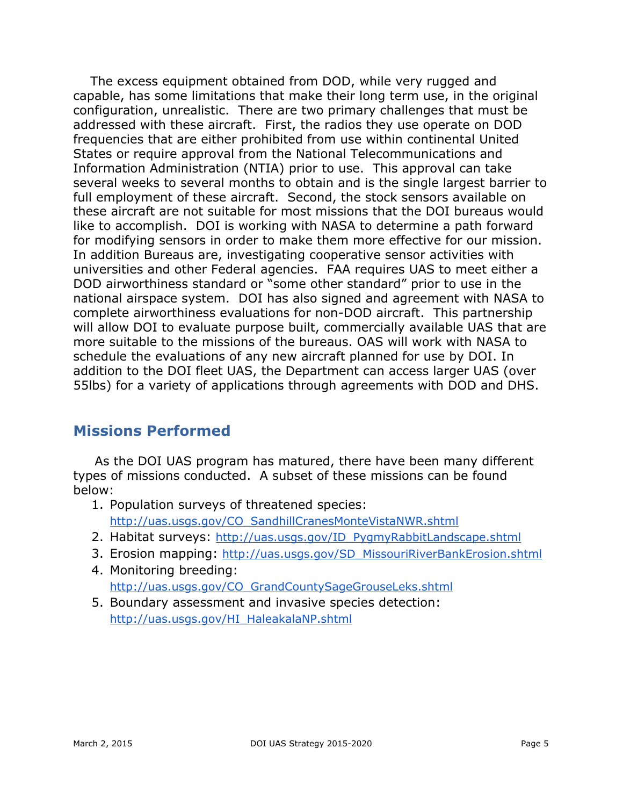The excess equipment obtained from DOD, while very rugged and capable, has some limitations that make their long term use, in the original configuration, unrealistic. There are two primary challenges that must be addressed with these aircraft. First, the radios they use operate on DOD frequencies that are either prohibited from use within continental United States or require approval from the National Telecommunications and Information Administration (NTIA) prior to use. This approval can take several weeks to several months to obtain and is the single largest barrier to full employment of these aircraft. Second, the stock sensors available on these aircraft are not suitable for most missions that the DOI bureaus would like to accomplish. DOI is working with NASA to determine a path forward for modifying sensors in order to make them more effective for our mission. In addition Bureaus are, investigating cooperative sensor activities with universities and other Federal agencies. FAA requires UAS to meet either a DOD airworthiness standard or "some other standard" prior to use in the national airspace system. DOI has also signed and agreement with NASA to complete airworthiness evaluations for non-DOD aircraft. This partnership will allow DOI to evaluate purpose built, commercially available UAS that are more suitable to the missions of the bureaus. OAS will work with NASA to schedule the evaluations of any new aircraft planned for use by DOI. In addition to the DOI fleet UAS, the Department can access larger UAS (over 55lbs) for a variety of applications through agreements with DOD and DHS.

#### **Missions Performed**

As the DOI UAS program has matured, there have been many different types of missions conducted. A subset of these missions can be found below:

- 1. Population surveys of threatened species: [http://uas.usgs.gov/CO\\_SandhillCranesMonteVistaNWR.shtml](http://uas.usgs.gov/CO_SandhillCranesMonteVistaNWR.shtml)
- 2. Habitat surveys: [http://uas.usgs.gov/ID\\_PygmyRabbitLandscape.shtml](http://uas.usgs.gov/ID_PygmyRabbitLandscape.shtml)
- 3. Erosion mapping: [http://uas.usgs.gov/SD\\_MissouriRiverBankErosion.shtml](http://uas.usgs.gov/SD_MissouriRiverBankErosion.shtml)
- 4. Monitoring breeding: [http://uas.usgs.gov/CO\\_GrandCountySageGrouseLeks.shtml](http://uas.usgs.gov/CO_GrandCountySageGrouseLeks.shtml)
- 5. Boundary assessment and invasive species detection: [http://uas.usgs.gov/HI\\_HaleakalaNP.shtml](http://uas.usgs.gov/HI_HaleakalaNP.shtml)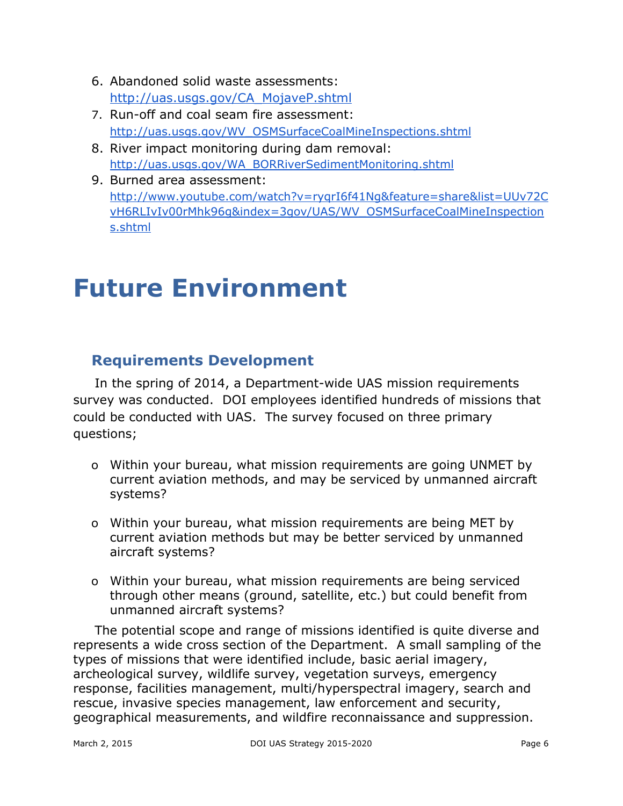- 6. Abandoned solid waste assessments: [http://uas.usgs.gov/CA\\_MojaveP.shtml](http://uas.usgs.gov/CA_MojaveP.sNhtml)
- 7. Run-off and coal seam fire assessment: [http://uas.usgs.gov/WV\\_OSMSurfaceCoalMineInspections.shtml](http://uas.usgs.gov/WV_OSMSurfaceCoalMineInspections.shtml)
- 8. River impact monitoring during dam removal: [http://uas.usgs.gov/WA\\_BORRiverSedimentMonitoring.shtml](http://uas.usgs.gov/WA_BORRiverSedimentMonitoring.shtml)
- 9. Burned area assessment: [http://www.youtube.com/watch?v=ryqrI6f41Ng&feature=share&list=UUv72C](http://www.youtube.com/watch?v=ryqrI6f41Ng&feature=share&list=UUv72CvH6RLIvIv00rMhk96g&index=3) [vH6RLIvIv00rMhk96g&index=3g](http://www.youtube.com/watch?v=ryqrI6f41Ng&feature=share&list=UUv72CvH6RLIvIv00rMhk96g&index=3)ov/UAS/WV\_OSMSurfaceCoalMineInspection s.shtml

## **Future Environment**

## **Requirements Development**

In the spring of 2014, a Department-wide UAS mission requirements survey was conducted. DOI employees identified hundreds of missions that could be conducted with UAS. The survey focused on three primary questions;

- o Within your bureau, what mission requirements are going UNMET by current aviation methods, and may be serviced by unmanned aircraft systems?
- o Within your bureau, what mission requirements are being MET by current aviation methods but may be better serviced by unmanned aircraft systems?
- o Within your bureau, what mission requirements are being serviced through other means (ground, satellite, etc.) but could benefit from unmanned aircraft systems?

The potential scope and range of missions identified is quite diverse and represents a wide cross section of the Department. A small sampling of the types of missions that were identified include, basic aerial imagery, archeological survey, wildlife survey, vegetation surveys, emergency response, facilities management, multi/hyperspectral imagery, search and rescue, invasive species management, law enforcement and security, geographical measurements, and wildfire reconnaissance and suppression.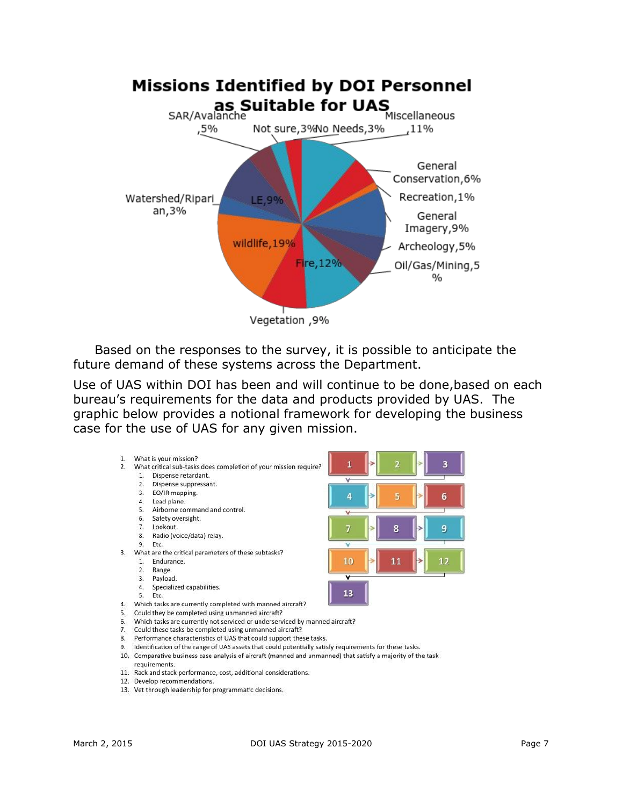

Based on the responses to the survey, it is possible to anticipate the future demand of these systems across the Department.

Use of UAS within DOI has been and will continue to be done,based on each bureau's requirements for the data and products provided by UAS. The graphic below provides a notional framework for developing the business case for the use of UAS for any given mission.



- 8. Performance characteristics of UAS that could support these tasks.
- 9. Identification of the range of UAS assets that could potentially satisfy requirements for these tasks.
- 10. Comparative business case analysis of aircraft (manned and unmanned) that satisfy a majority of the task requirements.
- 11. Rack and stack performance, cost, additional considerations.
- 12. Develop recommendations.
- 13. Vet through leadership for programmatic decisions.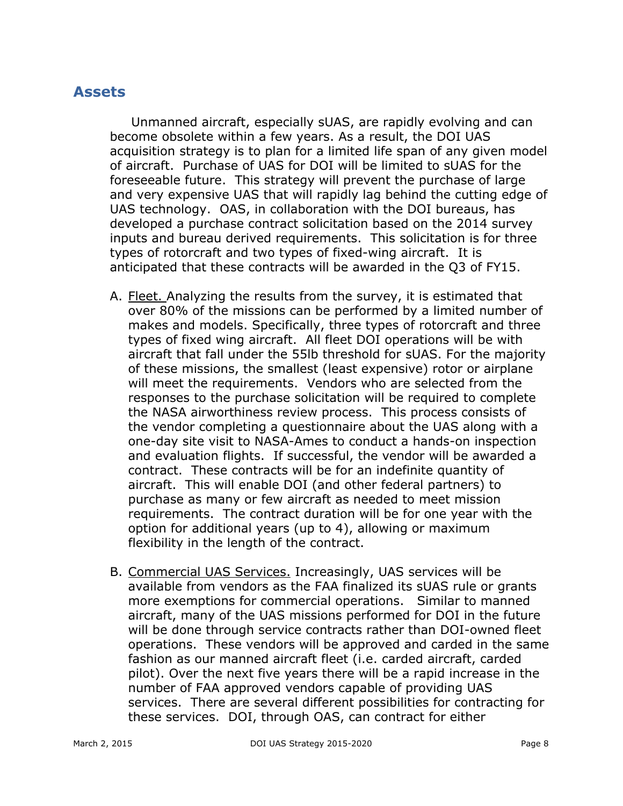#### **Assets**

Unmanned aircraft, especially sUAS, are rapidly evolving and can become obsolete within a few years. As a result, the DOI UAS acquisition strategy is to plan for a limited life span of any given model of aircraft. Purchase of UAS for DOI will be limited to sUAS for the foreseeable future. This strategy will prevent the purchase of large and very expensive UAS that will rapidly lag behind the cutting edge of UAS technology. OAS, in collaboration with the DOI bureaus, has developed a purchase contract solicitation based on the 2014 survey inputs and bureau derived requirements. This solicitation is for three types of rotorcraft and two types of fixed-wing aircraft. It is anticipated that these contracts will be awarded in the Q3 of FY15.

- A. Fleet. Analyzing the results from the survey, it is estimated that over 80% of the missions can be performed by a limited number of makes and models. Specifically, three types of rotorcraft and three types of fixed wing aircraft. All fleet DOI operations will be with aircraft that fall under the 55lb threshold for sUAS. For the majority of these missions, the smallest (least expensive) rotor or airplane will meet the requirements. Vendors who are selected from the responses to the purchase solicitation will be required to complete the NASA airworthiness review process. This process consists of the vendor completing a questionnaire about the UAS along with a one-day site visit to NASA-Ames to conduct a hands-on inspection and evaluation flights. If successful, the vendor will be awarded a contract. These contracts will be for an indefinite quantity of aircraft. This will enable DOI (and other federal partners) to purchase as many or few aircraft as needed to meet mission requirements. The contract duration will be for one year with the option for additional years (up to 4), allowing or maximum flexibility in the length of the contract.
- B. Commercial UAS Services. Increasingly, UAS services will be available from vendors as the FAA finalized its sUAS rule or grants more exemptions for commercial operations. Similar to manned aircraft, many of the UAS missions performed for DOI in the future will be done through service contracts rather than DOI-owned fleet operations. These vendors will be approved and carded in the same fashion as our manned aircraft fleet (i.e. carded aircraft, carded pilot). Over the next five years there will be a rapid increase in the number of FAA approved vendors capable of providing UAS services. There are several different possibilities for contracting for these services. DOI, through OAS, can contract for either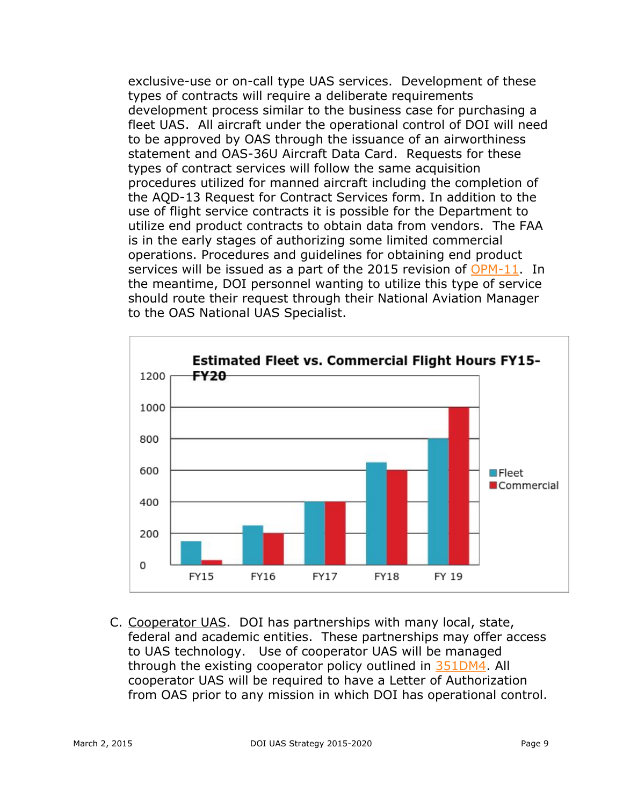exclusive-use or on-call type UAS services. Development of these types of contracts will require a deliberate requirements development process similar to the business case for purchasing a fleet UAS. All aircraft under the operational control of DOI will need to be approved by OAS through the issuance of an airworthiness statement and OAS-36U Aircraft Data Card. Requests for these types of contract services will follow the same acquisition procedures utilized for manned aircraft including the completion of the AQD-13 Request for Contract Services form. In addition to the use of flight service contracts it is possible for the Department to utilize end product contracts to obtain data from vendors. The FAA is in the early stages of authorizing some limited commercial operations. Procedures and guidelines for obtaining end product services will be issued as a part of the 2015 revision of [OPM-11.](http://oas.doi.gov/library/opm/OPM-11.pdf) In the meantime, DOI personnel wanting to utilize this type of service should route their request through their National Aviation Manager to the OAS National UAS Specialist.



C. Cooperator UAS. DOI has partnerships with many local, state, federal and academic entities. These partnerships may offer access to UAS technology. Use of cooperator UAS will be managed through the existing cooperator policy outlined in [351DM4](http://elips.doi.gov/ELIPS/DocView.aspx?id=1094). All cooperator UAS will be required to have a Letter of Authorization from OAS prior to any mission in which DOI has operational control.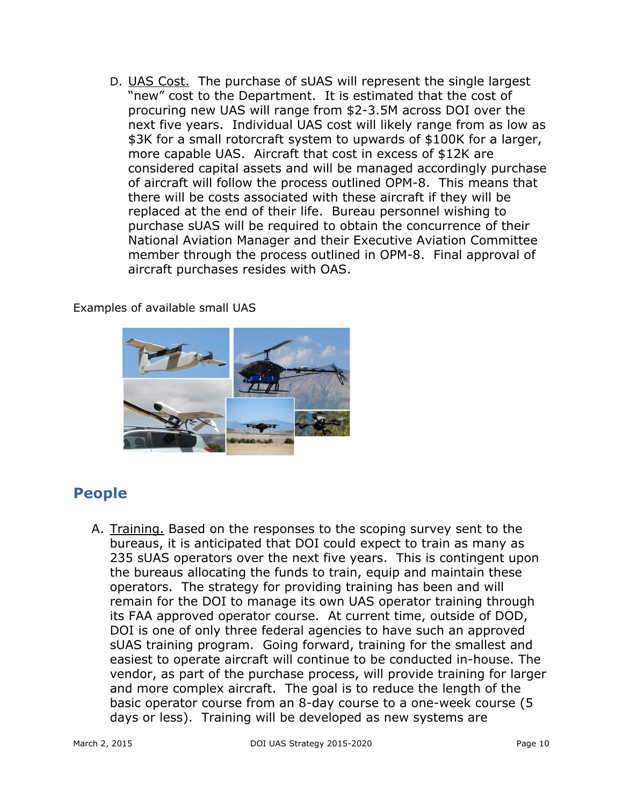D. UAS Cost. The purchase of sUAS will represent the single largest "new" cost to the Department. It is estimated that the cost of procuring new UAS will range from \$2-3.5M across DOI over the next five years. Individual UAS cost will likely range from as low as \$3K for a small rotorcraft system to upwards of \$100K for a larger, more capable UAS. Aircraft that cost in excess of \$12K are considered capital assets and will be managed accordingly purchase of aircraft will follow the process outlined OPM-8. This means that there will be costs associated with these aircraft if they will be replaced at the end of their life. Bureau personnel wishing to purchase sUAS will be required to obtain the concurrence of their National Aviation Manager and their Executive Aviation Committee member through the process outlined in OPM-8. Final approval of aircraft purchases resides with OAS.

Examples of available small UAS



## **People**

A. Training. Based on the responses to the scoping survey sent to the bureaus, it is anticipated that DOI could expect to train as many as 235 sUAS operators over the next five years. This is contingent upon the bureaus allocating the funds to train, equip and maintain these operators. The strategy for providing training has been and will remain for the DOI to manage its own UAS operator training through its FAA approved operator course. At current time, outside of DOD, DOI is one of only three federal agencies to have such an approved sUAS training program. Going forward, training for the smallest and easiest to operate aircraft will continue to be conducted in-house. The vendor, as part of the purchase process, will provide training for larger and more complex aircraft. The goal is to reduce the length of the basic operator course from an 8-day course to a one-week course (5 days or less). Training will be developed as new systems are